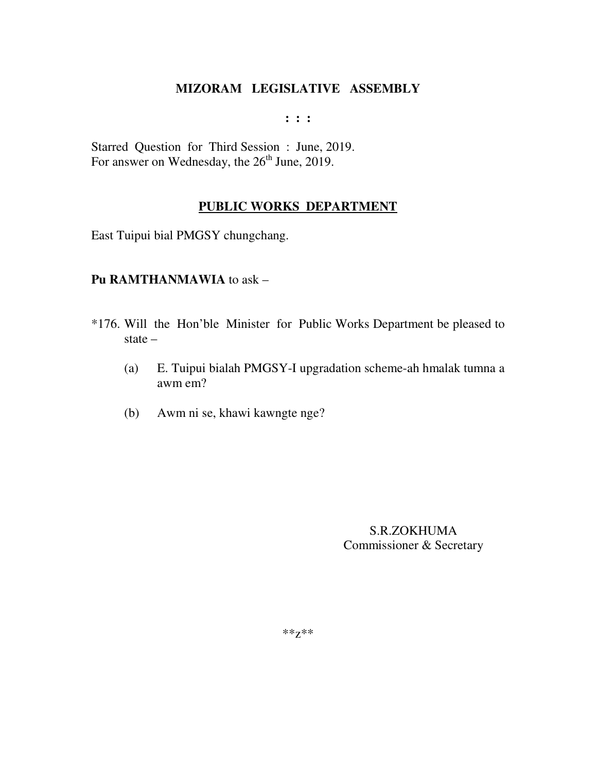**: : :** 

Starred Question for Third Session : June, 2019. For answer on Wednesday, the  $26<sup>th</sup>$  June, 2019.

## **PUBLIC WORKS DEPARTMENT**

East Tuipui bial PMGSY chungchang.

### **Pu RAMTHANMAWIA** to ask –

- \*176. Will the Hon'ble Minister for Public Works Department be pleased to state –
	- (a) E. Tuipui bialah PMGSY-I upgradation scheme-ah hmalak tumna a awm em?
	- (b) Awm ni se, khawi kawngte nge?

S.R.ZOKHUMA Commissioner & Secretary

\*\*z\*\*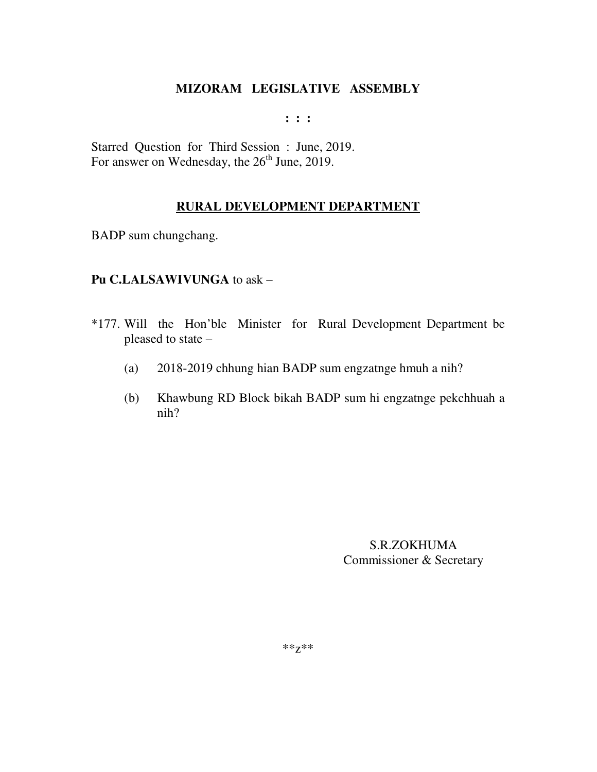**: : :** 

Starred Question for Third Session : June, 2019. For answer on Wednesday, the  $26<sup>th</sup>$  June, 2019.

### **RURAL DEVELOPMENT DEPARTMENT**

BADP sum chungchang.

### **Pu C.LALSAWIVUNGA** to ask –

- \*177. Will the Hon'ble Minister for Rural Development Department be pleased to state –
	- (a) 2018-2019 chhung hian BADP sum engzatnge hmuh a nih?
	- (b) Khawbung RD Block bikah BADP sum hi engzatnge pekchhuah a nih?

S.R.ZOKHUMA Commissioner & Secretary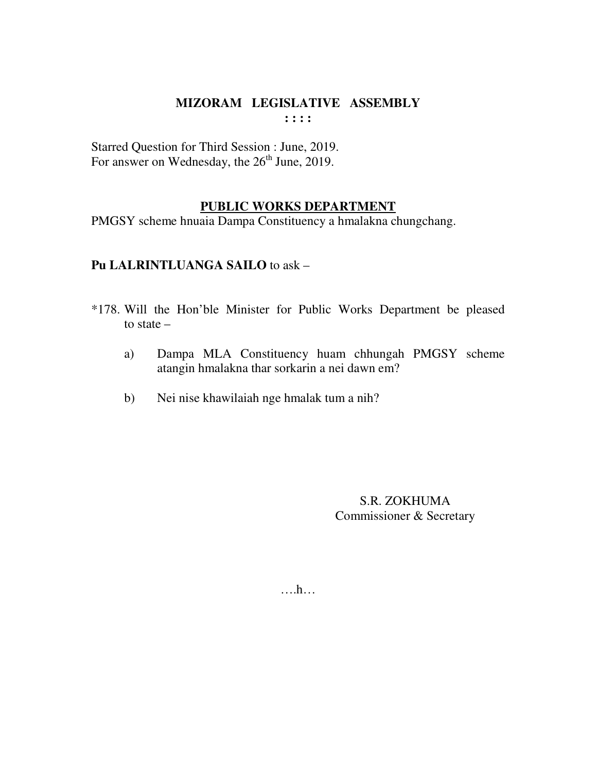Starred Question for Third Session : June, 2019. For answer on Wednesday, the 26<sup>th</sup> June, 2019.

## **PUBLIC WORKS DEPARTMENT**

PMGSY scheme hnuaia Dampa Constituency a hmalakna chungchang.

# **Pu LALRINTLUANGA SAILO** to ask –

- \*178. Will the Hon'ble Minister for Public Works Department be pleased to state –
	- a) Dampa MLA Constituency huam chhungah PMGSY scheme atangin hmalakna thar sorkarin a nei dawn em?
	- b) Nei nise khawilaiah nge hmalak tum a nih?

S.R. ZOKHUMA Commissioner & Secretary

….h…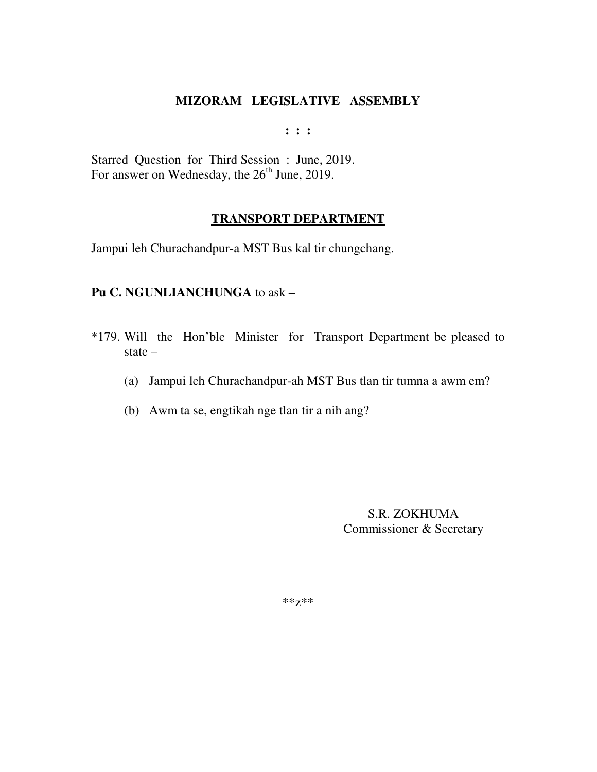**: : :** 

Starred Question for Third Session : June, 2019. For answer on Wednesday, the  $26<sup>th</sup>$  June, 2019.

### **TRANSPORT DEPARTMENT**

Jampui leh Churachandpur-a MST Bus kal tir chungchang.

## **Pu C. NGUNLIANCHUNGA** to ask –

- \*179. Will the Hon'ble Minister for Transport Department be pleased to state –
	- (a) Jampui leh Churachandpur-ah MST Bus tlan tir tumna a awm em?
	- (b) Awm ta se, engtikah nge tlan tir a nih ang?

S.R. ZOKHUMA Commissioner & Secretary

\*\*z\*\*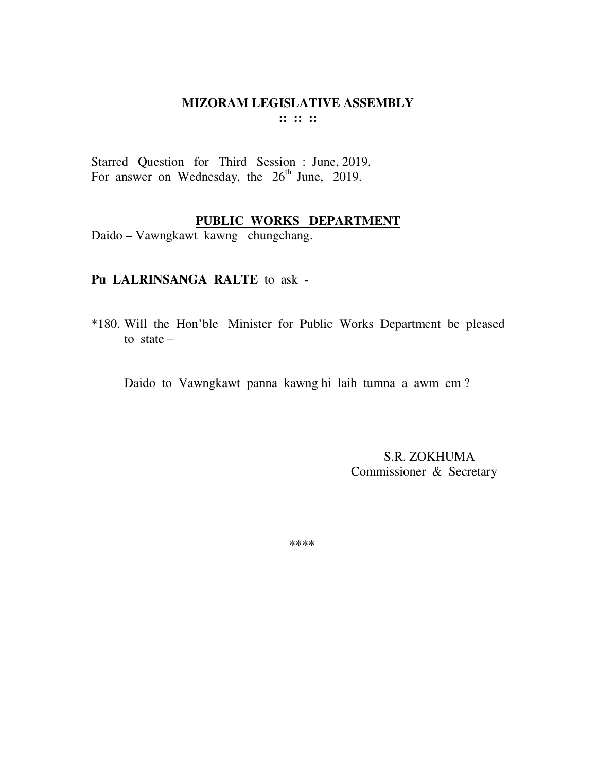Starred Question for Third Session : June, 2019. For answer on Wednesday, the  $26<sup>th</sup>$  June, 2019.

# **PUBLIC WORKS DEPARTMENT**

Daido – Vawngkawt kawng chungchang.

### **Pu LALRINSANGA RALTE** to ask -

\*180. Will the Hon'ble Minister for Public Works Department be pleased to state  $-$ 

Daido to Vawngkawt panna kawng hi laih tumna a awm em ?

 S.R. ZOKHUMA Commissioner & Secretary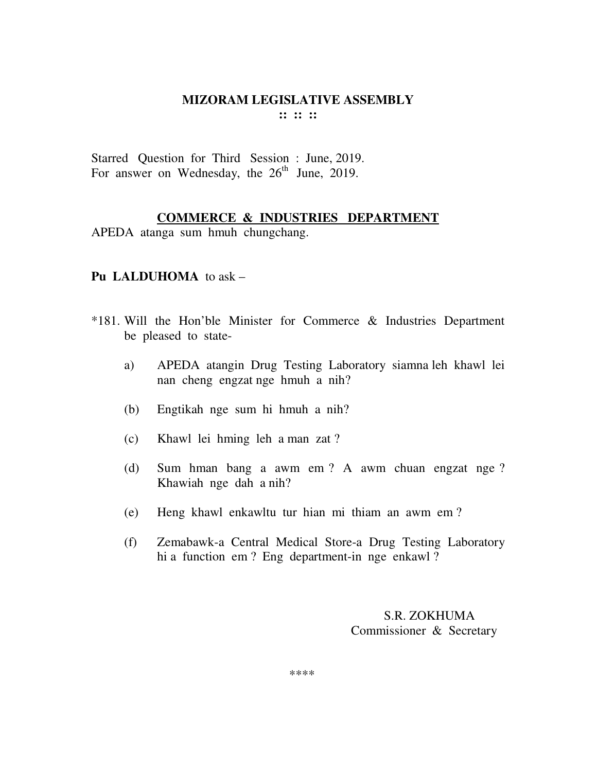Starred Question for Third Session : June, 2019. For answer on Wednesday, the 26<sup>th</sup> June, 2019.

#### **COMMERCE & INDUSTRIES DEPARTMENT**

APEDA atanga sum hmuh chungchang.

### **Pu LALDUHOMA** to ask –

- \*181. Will the Hon'ble Minister for Commerce & Industries Department be pleased to state
	- a) APEDA atangin Drug Testing Laboratory siamna leh khawl lei nan cheng engzat nge hmuh a nih?
	- (b) Engtikah nge sum hi hmuh a nih?
	- (c) Khawl lei hming leh a man zat ?
	- (d) Sum hman bang a awm em ? A awm chuan engzat nge ? Khawiah nge dah a nih?
	- (e) Heng khawl enkawltu tur hian mi thiam an awm em ?
	- (f) Zemabawk-a Central Medical Store-a Drug Testing Laboratory hi a function em ? Eng department-in nge enkawl ?

## S.R. ZOKHUMA Commissioner & Secretary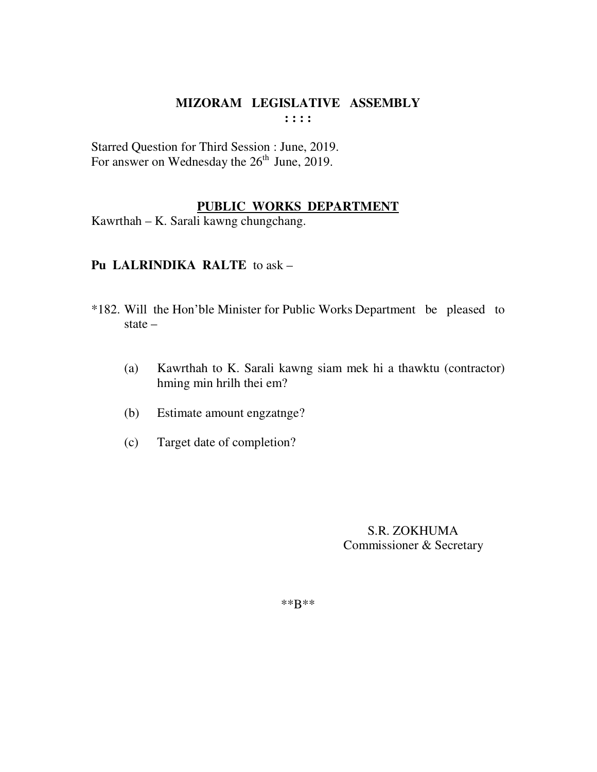Starred Question for Third Session : June, 2019. For answer on Wednesday the  $26<sup>th</sup>$  June, 2019.

## **PUBLIC WORKS DEPARTMENT**

Kawrthah – K. Sarali kawng chungchang.

# **Pu LALRINDIKA RALTE** to ask –

- \*182. Will the Hon'ble Minister for Public Works Department be pleased to state –
	- (a) Kawrthah to K. Sarali kawng siam mek hi a thawktu (contractor) hming min hrilh thei em?
	- (b) Estimate amount engzatnge?
	- (c) Target date of completion?

 S.R. ZOKHUMA Commissioner & Secretary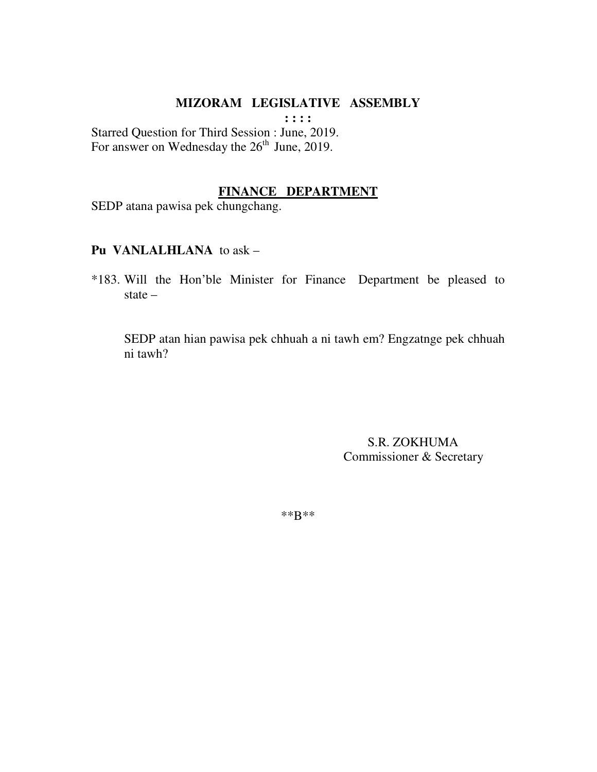**: : : :** 

Starred Question for Third Session : June, 2019. For answer on Wednesday the 26<sup>th</sup> June, 2019.

### **FINANCE DEPARTMENT**

SEDP atana pawisa pek chungchang.

#### **Pu VANLALHLANA** to ask –

\*183. Will the Hon'ble Minister for Finance Department be pleased to state –

 SEDP atan hian pawisa pek chhuah a ni tawh em? Engzatnge pek chhuah ni tawh?

> S.R. ZOKHUMA Commissioner & Secretary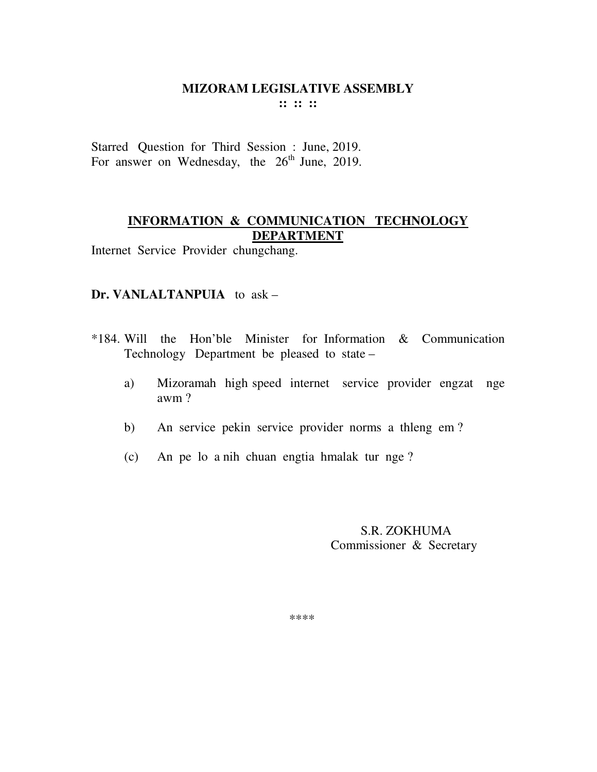Starred Question for Third Session : June, 2019. For answer on Wednesday, the  $26<sup>th</sup>$  June, 2019.

# **INFORMATION & COMMUNICATION TECHNOLOGY DEPARTMENT**

Internet Service Provider chungchang.

### **Dr. VANLALTANPUIA** to ask –

- \*184. Will the Hon'ble Minister for Information & Communication Technology Department be pleased to state –
	- a) Mizoramah high speed internet service provider engzat nge awm ?
	- b) An service pekin service provider norms a thleng em ?
	- (c) An pe lo a nih chuan engtia hmalak tur nge ?

 S.R. ZOKHUMA Commissioner & Secretary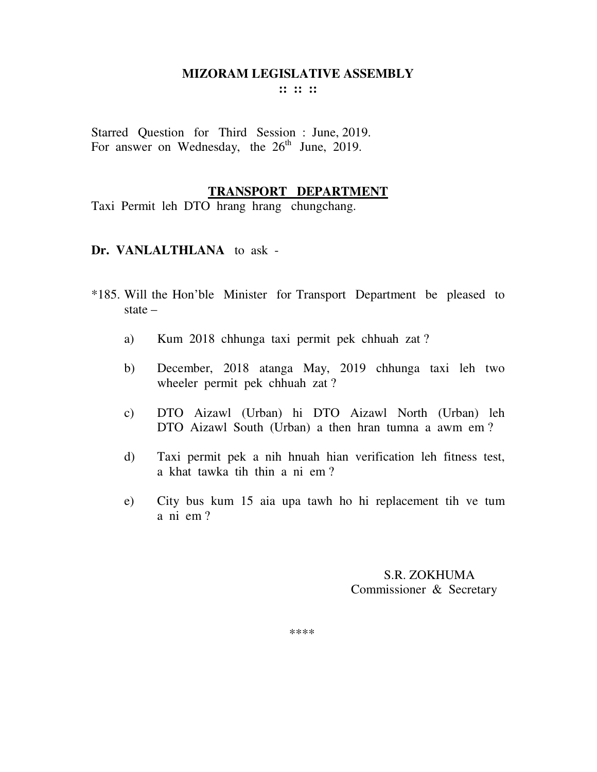**:: :: ::** 

Starred Question for Third Session : June, 2019. For answer on Wednesday, the  $26<sup>th</sup>$  June, 2019.

#### **TRANSPORT DEPARTMENT**

Taxi Permit leh DTO hrang hrang chungchang.

#### **Dr. VANLALTHLANA** to ask -

- \*185. Will the Hon'ble Minister for Transport Department be pleased to state –
	- a) Kum 2018 chhunga taxi permit pek chhuah zat ?
	- b) December, 2018 atanga May, 2019 chhunga taxi leh two wheeler permit pek chhuah zat ?
	- c) DTO Aizawl (Urban) hi DTO Aizawl North (Urban) leh DTO Aizawl South (Urban) a then hran tumna a awm em ?
	- d) Taxi permit pek a nih hnuah hian verification leh fitness test, a khat tawka tih thin a ni em ?
	- e) City bus kum 15 aia upa tawh ho hi replacement tih ve tum a ni em ?

 S.R. ZOKHUMA Commissioner & Secretary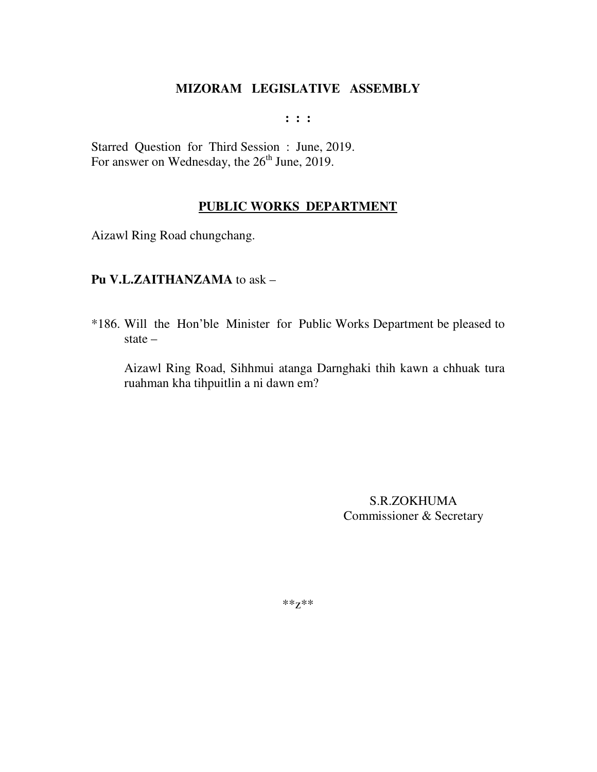**: : :** 

Starred Question for Third Session : June, 2019. For answer on Wednesday, the  $26<sup>th</sup>$  June, 2019.

# **PUBLIC WORKS DEPARTMENT**

Aizawl Ring Road chungchang.

## **Pu V.L.ZAITHANZAMA** to ask –

\*186. Will the Hon'ble Minister for Public Works Department be pleased to state –

Aizawl Ring Road, Sihhmui atanga Darnghaki thih kawn a chhuak tura ruahman kha tihpuitlin a ni dawn em?

> S.R.ZOKHUMA Commissioner & Secretary

\*\*z\*\*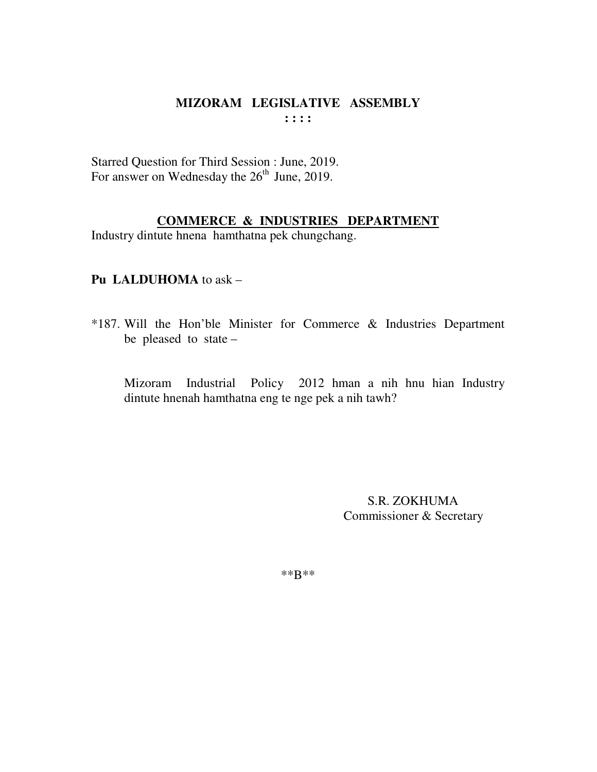Starred Question for Third Session : June, 2019. For answer on Wednesday the  $26<sup>th</sup>$  June, 2019.

# **COMMERCE & INDUSTRIES DEPARTMENT**

Industry dintute hnena hamthatna pek chungchang.

# **Pu LALDUHOMA** to ask –

\*187. Will the Hon'ble Minister for Commerce & Industries Department be pleased to state –

 Mizoram Industrial Policy 2012 hman a nih hnu hian Industry dintute hnenah hamthatna eng te nge pek a nih tawh?

> S.R. ZOKHUMA Commissioner & Secretary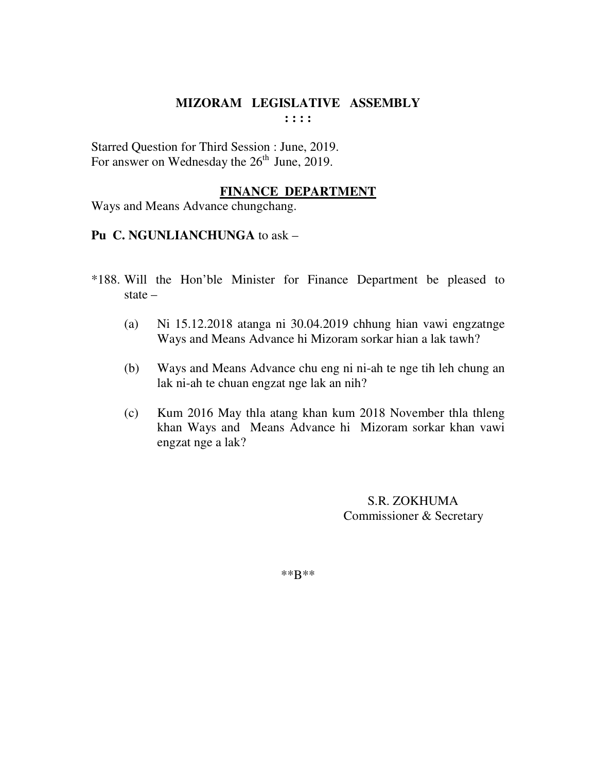Starred Question for Third Session : June, 2019. For answer on Wednesday the  $26<sup>th</sup>$  June, 2019.

## **FINANCE DEPARTMENT**

Ways and Means Advance chungchang.

## **Pu C. NGUNLIANCHUNGA** to ask –

- \*188. Will the Hon'ble Minister for Finance Department be pleased to state –
	- (a) Ni 15.12.2018 atanga ni 30.04.2019 chhung hian vawi engzatnge Ways and Means Advance hi Mizoram sorkar hian a lak tawh?
	- (b) Ways and Means Advance chu eng ni ni-ah te nge tih leh chung an lak ni-ah te chuan engzat nge lak an nih?
	- (c) Kum 2016 May thla atang khan kum 2018 November thla thleng khan Ways and Means Advance hi Mizoram sorkar khan vawi engzat nge a lak?

 S.R. ZOKHUMA Commissioner & Secretary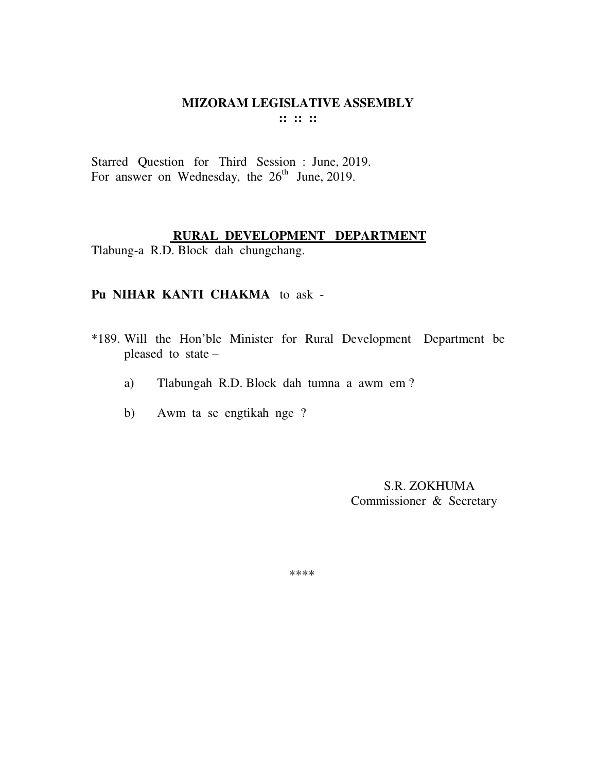Starred Question for Third Session : June, 2019. For answer on Wednesday, the  $26<sup>th</sup>$  June, 2019.

#### **RURAL DEVELOPMENT DEPARTMENT**

Tlabung-a R.D. Block dah chungchang.

#### **Pu NIHAR KANTI CHAKMA** to ask -

- \*189. Will the Hon'ble Minister for Rural Development Department be pleased to state –
	- a) Tlabungah R.D. Block dah tumna a awm em ?
	- b) Awm ta se engtikah nge ?

 S.R. ZOKHUMA Commissioner & Secretary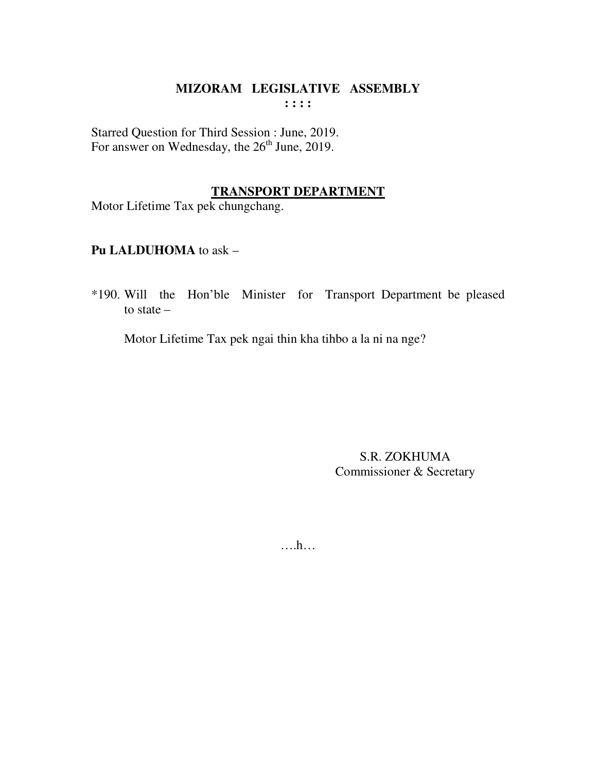Starred Question for Third Session : June, 2019. For answer on Wednesday, the  $26<sup>th</sup>$  June, 2019.

## **TRANSPORT DEPARTMENT**

Motor Lifetime Tax pek chungchang.

# **Pu LALDUHOMA** to ask –

\*190. Will the Hon'ble Minister for Transport Department be pleased to state –

Motor Lifetime Tax pek ngai thin kha tihbo a la ni na nge?

S.R. ZOKHUMA Commissioner & Secretary

….h…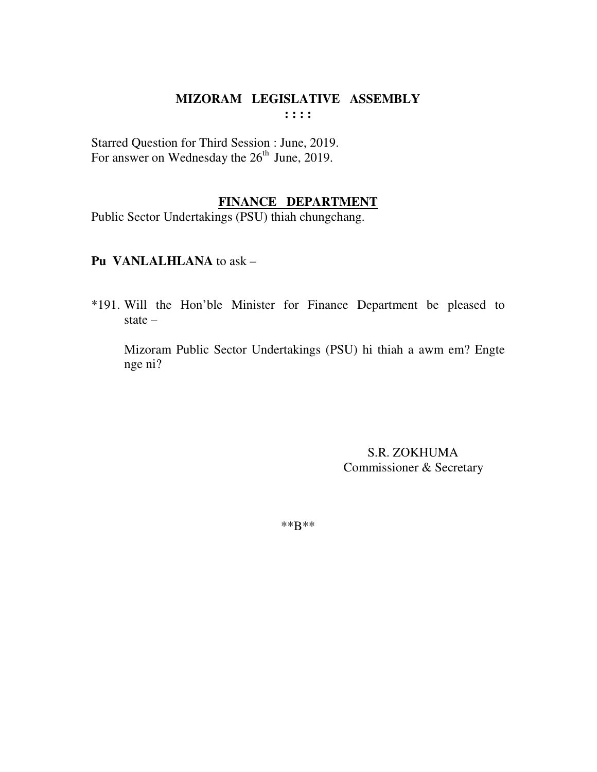Starred Question for Third Session : June, 2019. For answer on Wednesday the  $26<sup>th</sup>$  June, 2019.

### **FINANCE DEPARTMENT**

Public Sector Undertakings (PSU) thiah chungchang.

### **Pu VANLALHLANA** to ask –

\*191. Will the Hon'ble Minister for Finance Department be pleased to state –

 Mizoram Public Sector Undertakings (PSU) hi thiah a awm em? Engte nge ni?

> S.R. ZOKHUMA Commissioner & Secretary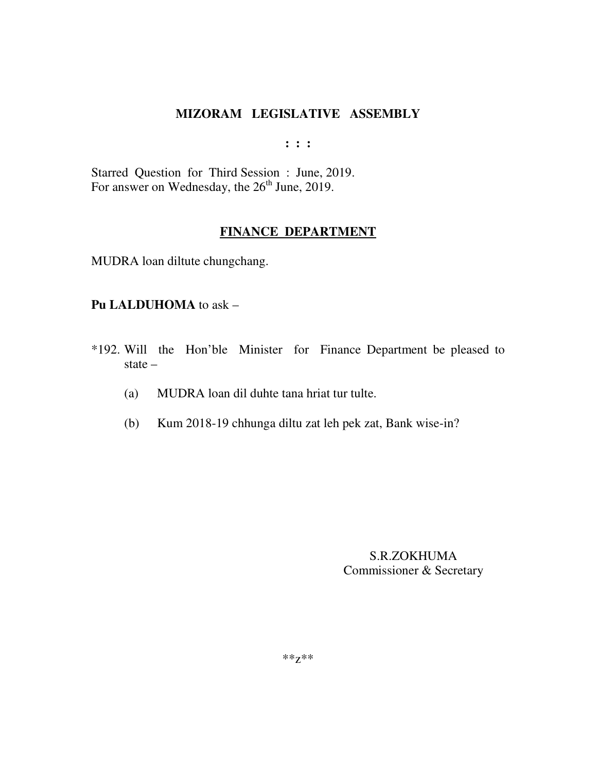**: : :** 

Starred Question for Third Session : June, 2019. For answer on Wednesday, the 26<sup>th</sup> June, 2019.

# **FINANCE DEPARTMENT**

MUDRA loan diltute chungchang.

### **Pu LALDUHOMA** to ask –

- \*192. Will the Hon'ble Minister for Finance Department be pleased to state –
	- (a) MUDRA loan dil duhte tana hriat tur tulte.
	- (b) Kum 2018-19 chhunga diltu zat leh pek zat, Bank wise-in?

S.R.ZOKHUMA Commissioner & Secretary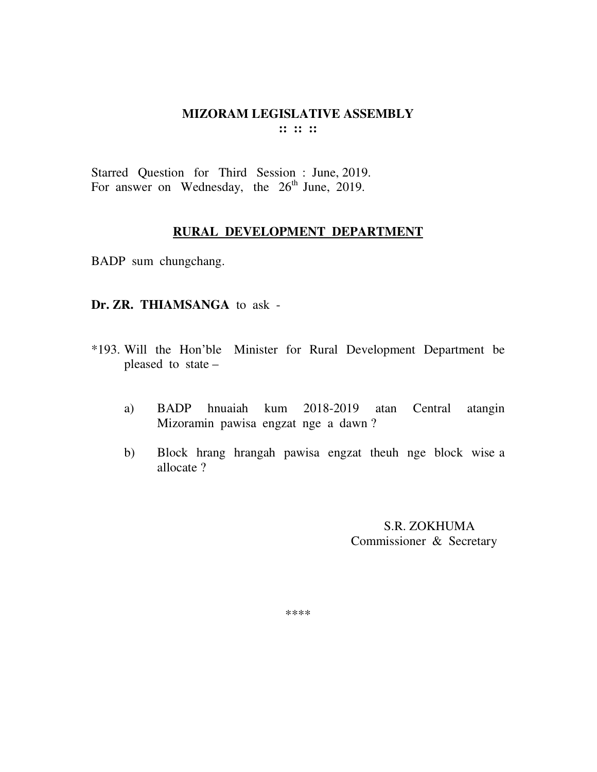Starred Question for Third Session : June, 2019. For answer on Wednesday, the  $26<sup>th</sup>$  June, 2019.

#### **RURAL DEVELOPMENT DEPARTMENT**

BADP sum chungchang.

#### **Dr. ZR. THIAMSANGA** to ask -

- \*193. Will the Hon'ble Minister for Rural Development Department be pleased to state –
	- a) BADP hnuaiah kum 2018-2019 atan Central atangin Mizoramin pawisa engzat nge a dawn ?
	- b) Block hrang hrangah pawisa engzat theuh nge block wise a allocate ?

 S.R. ZOKHUMA Commissioner & Secretary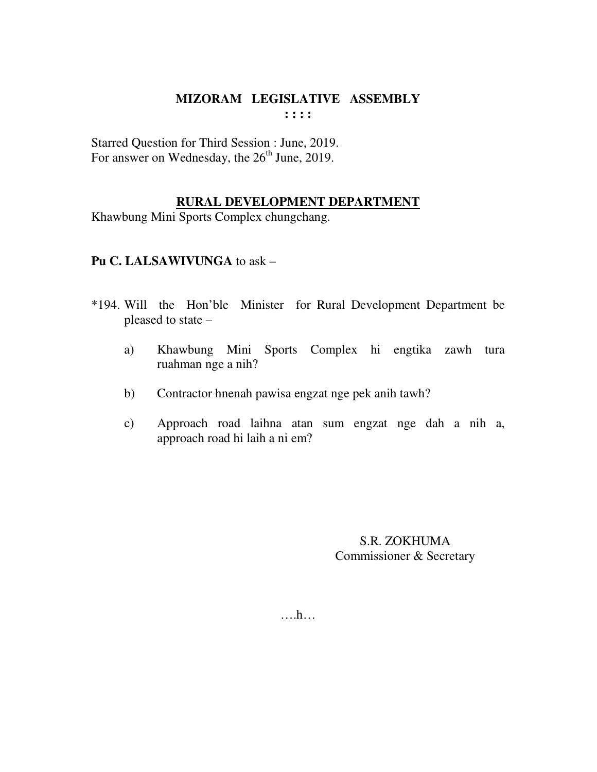Starred Question for Third Session : June, 2019. For answer on Wednesday, the  $26<sup>th</sup>$  June, 2019.

# **RURAL DEVELOPMENT DEPARTMENT**

Khawbung Mini Sports Complex chungchang.

## **Pu C. LALSAWIVUNGA** to ask –

- \*194. Will the Hon'ble Minister for Rural Development Department be pleased to state –
	- a) Khawbung Mini Sports Complex hi engtika zawh tura ruahman nge a nih?
	- b) Contractor hnenah pawisa engzat nge pek anih tawh?
	- c) Approach road laihna atan sum engzat nge dah a nih a, approach road hi laih a ni em?

S.R. ZOKHUMA Commissioner & Secretary

….h…